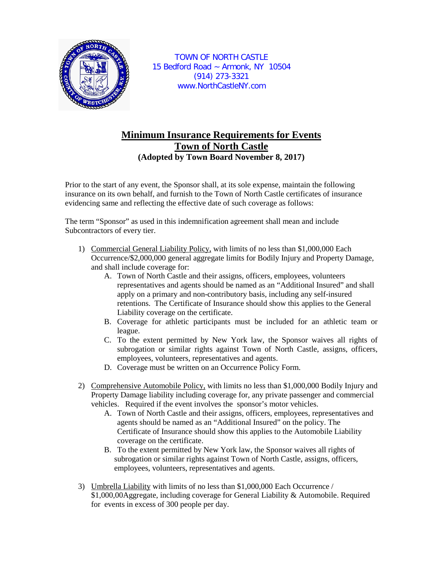

TOWN OF NORTH CASTLE 15 Bedford Road ~ Armonk, NY 10504 (914) 273-3321 www.NorthCastleNY.com

## **Minimum Insurance Requirements for Events Town of North Castle (Adopted by Town Board November 8, 2017)**

Prior to the start of any event, the Sponsor shall, at its sole expense, maintain the following insurance on its own behalf, and furnish to the Town of North Castle certificates of insurance evidencing same and reflecting the effective date of such coverage as follows:

The term "Sponsor" as used in this indemnification agreement shall mean and include Subcontractors of every tier.

- 1) Commercial General Liability Policy, with limits of no less than \$1,000,000 Each Occurrence/\$2,000,000 general aggregate limits for Bodily Injury and Property Damage, and shall include coverage for:
	- A. Town of North Castle and their assigns, officers, employees, volunteers representatives and agents should be named as an "Additional Insured" and shall apply on a primary and non-contributory basis, including any self-insured retentions. The Certificate of Insurance should show this applies to the General Liability coverage on the certificate.
	- B. Coverage for athletic participants must be included for an athletic team or league.
	- C. To the extent permitted by New York law, the Sponsor waives all rights of subrogation or similar rights against Town of North Castle, assigns, officers, employees, volunteers, representatives and agents.
	- D. Coverage must be written on an Occurrence Policy Form.
- 2) Comprehensive Automobile Policy, with limits no less than \$1,000,000 Bodily Injury and Property Damage liability including coverage for, any private passenger and commercial vehicles. Required if the event involves the sponsor's motor vehicles.
	- A. Town of North Castle and their assigns, officers, employees, representatives and agents should be named as an "Additional Insured" on the policy. The Certificate of Insurance should show this applies to the Automobile Liability coverage on the certificate.
	- B. To the extent permitted by New York law, the Sponsor waives all rights of subrogation or similar rights against Town of North Castle, assigns, officers, employees, volunteers, representatives and agents.
- 3) Umbrella Liability with limits of no less than \$1,000,000 Each Occurrence / \$1,000,00Aggregate, including coverage for General Liability & Automobile. Required for events in excess of 300 people per day.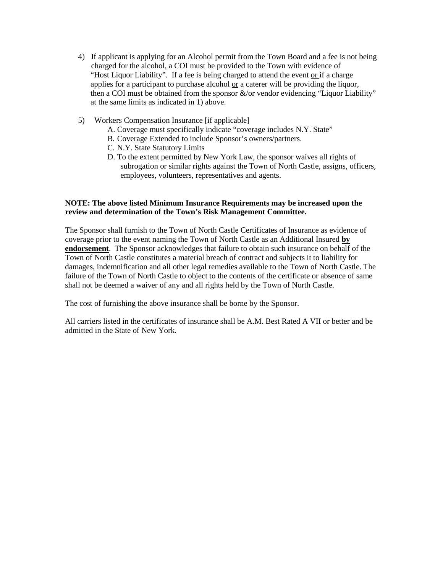- 4) If applicant is applying for an Alcohol permit from the Town Board and a fee is not being charged for the alcohol, a COI must be provided to the Town with evidence of "Host Liquor Liability". If a fee is being charged to attend the event or if a charge applies for a participant to purchase alcohol or a caterer will be providing the liquor, then a COI must be obtained from the sponsor &/or vendor evidencing "Liquor Liability" at the same limits as indicated in 1) above.
- 5) Workers Compensation Insurance [if applicable]
	- A. Coverage must specifically indicate "coverage includes N.Y. State"
	- B. Coverage Extended to include Sponsor's owners/partners.
	- C. N.Y. State Statutory Limits
	- D. To the extent permitted by New York Law, the sponsor waives all rights of subrogation or similar rights against the Town of North Castle, assigns, officers, employees, volunteers, representatives and agents.

## **NOTE: The above listed Minimum Insurance Requirements may be increased upon the review and determination of the Town's Risk Management Committee.**

The Sponsor shall furnish to the Town of North Castle Certificates of Insurance as evidence of coverage prior to the event naming the Town of North Castle as an Additional Insured **by endorsement**. The Sponsor acknowledges that failure to obtain such insurance on behalf of the Town of North Castle constitutes a material breach of contract and subjects it to liability for damages, indemnification and all other legal remedies available to the Town of North Castle. The failure of the Town of North Castle to object to the contents of the certificate or absence of same shall not be deemed a waiver of any and all rights held by the Town of North Castle.

The cost of furnishing the above insurance shall be borne by the Sponsor.

All carriers listed in the certificates of insurance shall be A.M. Best Rated A VII or better and be admitted in the State of New York.